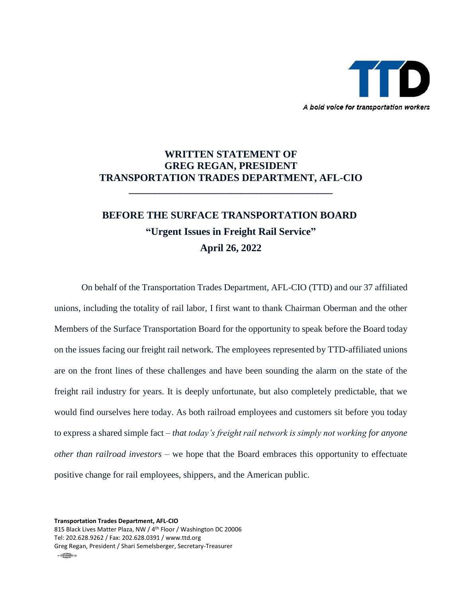

## **WRITTEN STATEMENT OF GREG REGAN, PRESIDENT TRANSPORTATION TRADES DEPARTMENT, AFL-CIO**

**\_\_\_\_\_\_\_\_\_\_\_\_\_\_\_\_\_\_\_\_\_\_\_\_\_\_\_\_\_\_\_\_\_\_\_\_\_\_\_\_**

# **BEFORE THE SURFACE TRANSPORTATION BOARD "Urgent Issues in Freight Rail Service" April 26, 2022**

On behalf of the Transportation Trades Department, AFL-CIO (TTD) and our 37 affiliated unions, including the totality of rail labor, I first want to thank Chairman Oberman and the other Members of the Surface Transportation Board for the opportunity to speak before the Board today on the issues facing our freight rail network. The employees represented by TTD-affiliated unions are on the front lines of these challenges and have been sounding the alarm on the state of the freight rail industry for years. It is deeply unfortunate, but also completely predictable, that we would find ourselves here today. As both railroad employees and customers sit before you today to express a shared simple fact – *that today's freight rail network is simply not working for anyone other than railroad investors –* we hope that the Board embraces this opportunity to effectuate positive change for rail employees, shippers, and the American public.

**Transportation Trades Department, AFL-CIO**

815 Black Lives Matter Plaza, NW / 4th Floor / Washington DC 20006 Tel: 202.628.9262 / Fax: 202.628.0391 / www.ttd.org Greg Regan, President / Shari Semelsberger, Secretary-Treasurer  $\frac{1}{2}$   $\frac{1}{2}$   $\frac{1}{2}$   $\frac{1}{2}$   $\frac{1}{2}$   $\frac{1}{2}$   $\frac{1}{2}$   $\frac{1}{2}$   $\frac{1}{2}$   $\frac{1}{2}$   $\frac{1}{2}$   $\frac{1}{2}$   $\frac{1}{2}$   $\frac{1}{2}$   $\frac{1}{2}$   $\frac{1}{2}$   $\frac{1}{2}$   $\frac{1}{2}$   $\frac{1}{2}$   $\frac{1}{2}$   $\frac{1}{2}$   $\frac{1}{2}$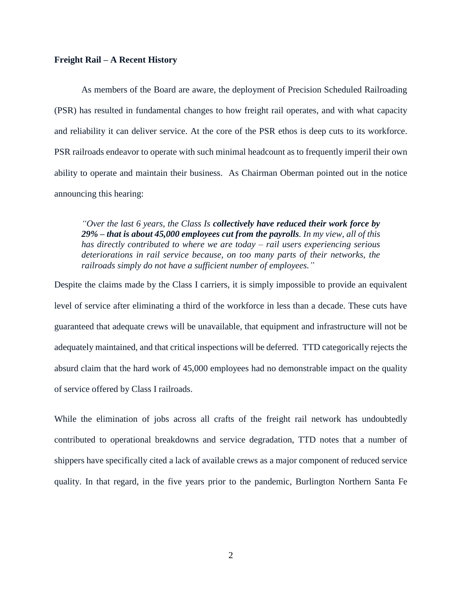#### **Freight Rail – A Recent History**

As members of the Board are aware, the deployment of Precision Scheduled Railroading (PSR) has resulted in fundamental changes to how freight rail operates, and with what capacity and reliability it can deliver service. At the core of the PSR ethos is deep cuts to its workforce. PSR railroads endeavor to operate with such minimal headcount as to frequently imperil their own ability to operate and maintain their business. As Chairman Oberman pointed out in the notice announcing this hearing:

*"Over the last 6 years, the Class Is collectively have reduced their work force by 29% – that is about 45,000 employees cut from the payrolls. In my view, all of this has directly contributed to where we are today – rail users experiencing serious deteriorations in rail service because, on too many parts of their networks, the railroads simply do not have a sufficient number of employees."* 

Despite the claims made by the Class I carriers, it is simply impossible to provide an equivalent level of service after eliminating a third of the workforce in less than a decade. These cuts have guaranteed that adequate crews will be unavailable, that equipment and infrastructure will not be adequately maintained, and that critical inspections will be deferred. TTD categorically rejects the absurd claim that the hard work of 45,000 employees had no demonstrable impact on the quality of service offered by Class I railroads.

While the elimination of jobs across all crafts of the freight rail network has undoubtedly contributed to operational breakdowns and service degradation, TTD notes that a number of shippers have specifically cited a lack of available crews as a major component of reduced service quality. In that regard, in the five years prior to the pandemic, Burlington Northern Santa Fe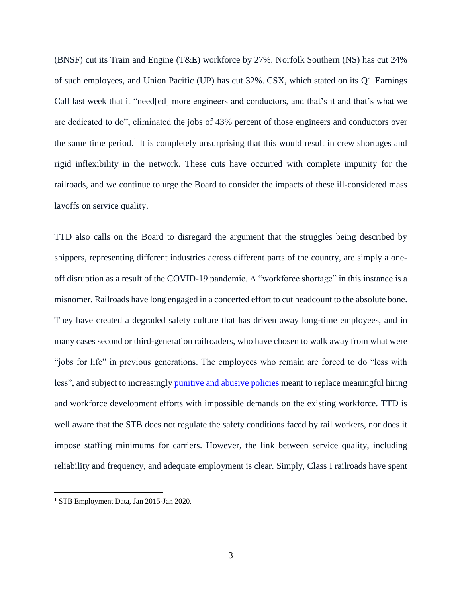(BNSF) cut its Train and Engine (T&E) workforce by 27%. Norfolk Southern (NS) has cut 24% of such employees, and Union Pacific (UP) has cut 32%. CSX, which stated on its Q1 Earnings Call last week that it "need[ed] more engineers and conductors, and that's it and that's what we are dedicated to do", eliminated the jobs of 43% percent of those engineers and conductors over the same time period.<sup>1</sup> It is completely unsurprising that this would result in crew shortages and rigid inflexibility in the network. These cuts have occurred with complete impunity for the railroads, and we continue to urge the Board to consider the impacts of these ill-considered mass layoffs on service quality.

TTD also calls on the Board to disregard the argument that the struggles being described by shippers, representing different industries across different parts of the country, are simply a oneoff disruption as a result of the COVID-19 pandemic. A "workforce shortage" in this instance is a misnomer. Railroads have long engaged in a concerted effort to cut headcount to the absolute bone. They have created a degraded safety culture that has driven away long-time employees, and in many cases second or third-generation railroaders, who have chosen to walk away from what were "jobs for life" in previous generations. The employees who remain are forced to do "less with less", and subject to increasingly [punitive and abusive policies](https://ttd.org/policy/policy-statements/opposing-abusive-railroad-attendance-policies/) meant to replace meaningful hiring and workforce development efforts with impossible demands on the existing workforce. TTD is well aware that the STB does not regulate the safety conditions faced by rail workers, nor does it impose staffing minimums for carriers. However, the link between service quality, including reliability and frequency, and adequate employment is clear. Simply, Class I railroads have spent

<sup>1</sup> STB Employment Data, Jan 2015-Jan 2020.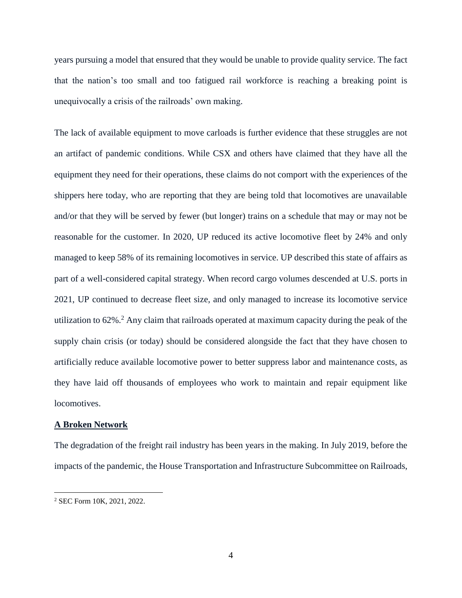years pursuing a model that ensured that they would be unable to provide quality service. The fact that the nation's too small and too fatigued rail workforce is reaching a breaking point is unequivocally a crisis of the railroads' own making.

The lack of available equipment to move carloads is further evidence that these struggles are not an artifact of pandemic conditions. While CSX and others have claimed that they have all the equipment they need for their operations, these claims do not comport with the experiences of the shippers here today, who are reporting that they are being told that locomotives are unavailable and/or that they will be served by fewer (but longer) trains on a schedule that may or may not be reasonable for the customer. In 2020, UP reduced its active locomotive fleet by 24% and only managed to keep 58% of its remaining locomotives in service. UP described this state of affairs as part of a well-considered capital strategy. When record cargo volumes descended at U.S. ports in 2021, UP continued to decrease fleet size, and only managed to increase its locomotive service utilization to 62%.<sup>2</sup> Any claim that railroads operated at maximum capacity during the peak of the supply chain crisis (or today) should be considered alongside the fact that they have chosen to artificially reduce available locomotive power to better suppress labor and maintenance costs, as they have laid off thousands of employees who work to maintain and repair equipment like locomotives.

### **A Broken Network**

The degradation of the freight rail industry has been years in the making. In July 2019, before the impacts of the pandemic, the House Transportation and Infrastructure Subcommittee on Railroads,

<sup>2</sup> SEC Form 10K, 2021, 2022.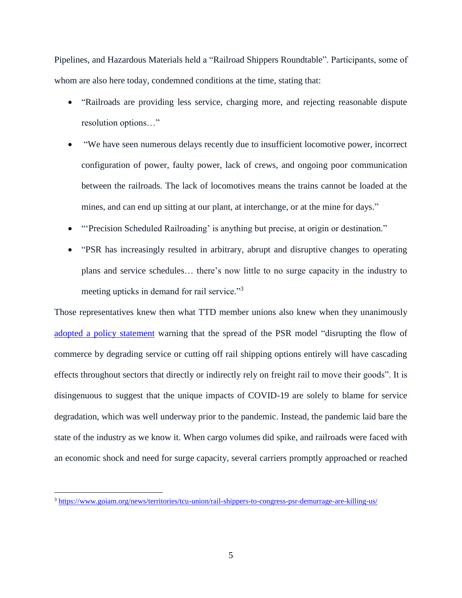Pipelines, and Hazardous Materials held a "Railroad Shippers Roundtable". Participants, some of whom are also here today, condemned conditions at the time, stating that:

- "Railroads are providing less service, charging more, and rejecting reasonable dispute resolution options…"
- "We have seen numerous delays recently due to insufficient locomotive power, incorrect configuration of power, faulty power, lack of crews, and ongoing poor communication between the railroads. The lack of locomotives means the trains cannot be loaded at the mines, and can end up sitting at our plant, at interchange, or at the mine for days."
- "'Precision Scheduled Railroading' is anything but precise, at origin or destination."
- "PSR has increasingly resulted in arbitrary, abrupt and disruptive changes to operating plans and service schedules… there's now little to no surge capacity in the industry to meeting upticks in demand for rail service."<sup>3</sup>

Those representatives knew then what TTD member unions also knew when they unanimously [adopted a policy statement](https://ttd.org/policy/precision-scheduled-railroading-threatens-to-gut-americas-freight-rail-system/) warning that the spread of the PSR model "disrupting the flow of commerce by degrading service or cutting off rail shipping options entirely will have cascading effects throughout sectors that directly or indirectly rely on freight rail to move their goods". It is disingenuous to suggest that the unique impacts of COVID-19 are solely to blame for service degradation, which was well underway prior to the pandemic. Instead, the pandemic laid bare the state of the industry as we know it. When cargo volumes did spike, and railroads were faced with an economic shock and need for surge capacity, several carriers promptly approached or reached

<sup>3</sup> <https://www.goiam.org/news/territories/tcu-union/rail-shippers-to-congress-psr-demurrage-are-killing-us/>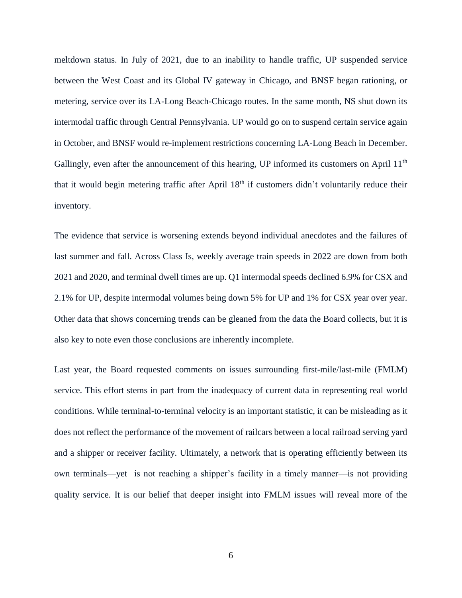meltdown status. In July of 2021, due to an inability to handle traffic, UP suspended service between the West Coast and its Global IV gateway in Chicago, and BNSF began rationing, or metering, service over its LA-Long Beach-Chicago routes. In the same month, NS shut down its intermodal traffic through Central Pennsylvania. UP would go on to suspend certain service again in October, and BNSF would re-implement restrictions concerning LA-Long Beach in December. Gallingly, even after the announcement of this hearing, UP informed its customers on April 11<sup>th</sup> that it would begin metering traffic after April 18<sup>th</sup> if customers didn't voluntarily reduce their inventory.

The evidence that service is worsening extends beyond individual anecdotes and the failures of last summer and fall. Across Class Is, weekly average train speeds in 2022 are down from both 2021 and 2020, and terminal dwell times are up. Q1 intermodal speeds declined 6.9% for CSX and 2.1% for UP, despite intermodal volumes being down 5% for UP and 1% for CSX year over year. Other data that shows concerning trends can be gleaned from the data the Board collects, but it is also key to note even those conclusions are inherently incomplete.

Last year, the Board requested comments on issues surrounding first-mile/last-mile (FMLM) service. This effort stems in part from the inadequacy of current data in representing real world conditions. While terminal-to-terminal velocity is an important statistic, it can be misleading as it does not reflect the performance of the movement of railcars between a local railroad serving yard and a shipper or receiver facility. Ultimately, a network that is operating efficiently between its own terminals—yet is not reaching a shipper's facility in a timely manner—is not providing quality service. It is our belief that deeper insight into FMLM issues will reveal more of the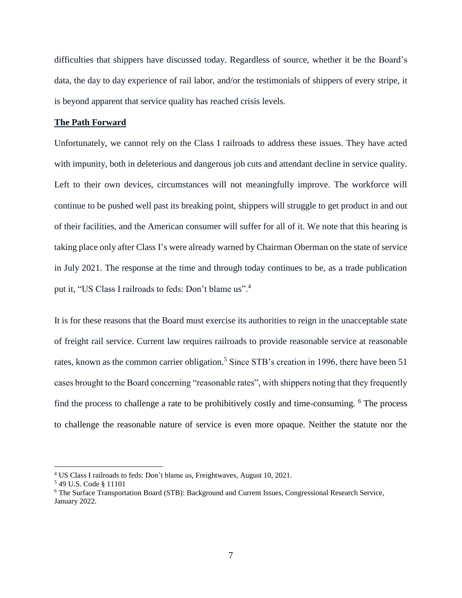difficulties that shippers have discussed today. Regardless of source, whether it be the Board's data, the day to day experience of rail labor, and/or the testimonials of shippers of every stripe, it is beyond apparent that service quality has reached crisis levels.

#### **The Path Forward**

Unfortunately, we cannot rely on the Class I railroads to address these issues. They have acted with impunity, both in deleterious and dangerous job cuts and attendant decline in service quality. Left to their own devices, circumstances will not meaningfully improve. The workforce will continue to be pushed well past its breaking point, shippers will struggle to get product in and out of their facilities, and the American consumer will suffer for all of it. We note that this hearing is taking place only after Class I's were already warned by Chairman Oberman on the state of service in July 2021. The response at the time and through today continues to be, as a trade publication put it, "US Class I railroads to feds: Don't blame us".<sup>4</sup>

It is for these reasons that the Board must exercise its authorities to reign in the unacceptable state of freight rail service. Current law requires railroads to provide reasonable service at reasonable rates, known as the common carrier obligation.<sup>5</sup> Since STB's creation in 1996, there have been 51 cases brought to the Board concerning "reasonable rates", with shippers noting that they frequently find the process to challenge a rate to be prohibitively costly and time-consuming. <sup>6</sup> The process to challenge the reasonable nature of service is even more opaque. Neither the statute nor the

<sup>4</sup> US Class I railroads to feds: Don't blame us, Freightwaves, August 10, 2021.

<sup>5</sup> 49 U.S. Code § 11101

<sup>6</sup> The Surface Transportation Board (STB): Background and Current Issues, Congressional Research Service, January 2022.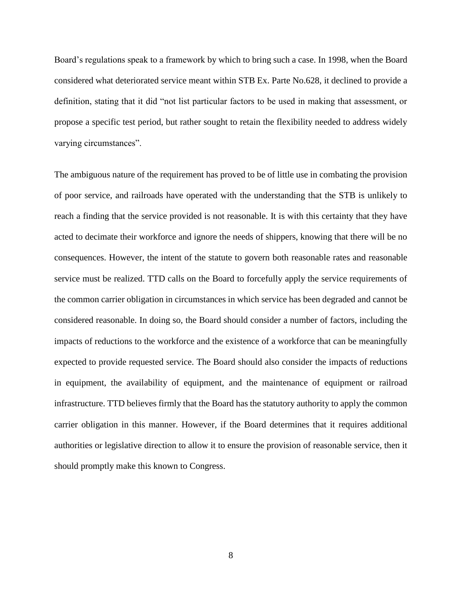Board's regulations speak to a framework by which to bring such a case. In 1998, when the Board considered what deteriorated service meant within STB Ex. Parte No.628, it declined to provide a definition, stating that it did "not list particular factors to be used in making that assessment, or propose a specific test period, but rather sought to retain the flexibility needed to address widely varying circumstances".

The ambiguous nature of the requirement has proved to be of little use in combating the provision of poor service, and railroads have operated with the understanding that the STB is unlikely to reach a finding that the service provided is not reasonable. It is with this certainty that they have acted to decimate their workforce and ignore the needs of shippers, knowing that there will be no consequences. However, the intent of the statute to govern both reasonable rates and reasonable service must be realized. TTD calls on the Board to forcefully apply the service requirements of the common carrier obligation in circumstances in which service has been degraded and cannot be considered reasonable. In doing so, the Board should consider a number of factors, including the impacts of reductions to the workforce and the existence of a workforce that can be meaningfully expected to provide requested service. The Board should also consider the impacts of reductions in equipment, the availability of equipment, and the maintenance of equipment or railroad infrastructure. TTD believes firmly that the Board has the statutory authority to apply the common carrier obligation in this manner. However, if the Board determines that it requires additional authorities or legislative direction to allow it to ensure the provision of reasonable service, then it should promptly make this known to Congress.